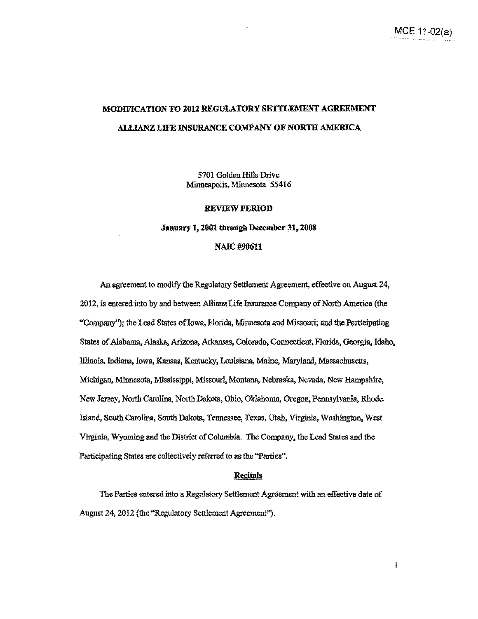## **MODIFICATION TO 2012 REGULATORY SETTLEMENT AGREEMENT ALLIANZ LIFE INSURANCE COMPANY OF NORTH AMERICA**

5701 Golden Hills Drive Minneapolis, Minnesota 55416

#### **REVIEW PERIOD**

### **January t, 2001 through December 31, 2008**

### **NAIC#90611**

An agreement to modify the Regulatory Settlement Agreement, effective on August 24, 2012, is entered into by and between Allianz Life Insurance Company of North America (the "Company''); the Lead States of Iowa, Florida, Minnesota and Missouri; and the Participating States of Alabama, Alaska, Arizona, Arkansas, Colorado, Connecticut, Florida, Georgia, Idaho, Illinois, Indiana, Iowa, Kansas, Kentucky, Louisiana, Maine, Maryland, Massachusetts, Michigan, Minnesota, Mississippi, Missouri, Montana, Nebraska, Nevada, New Hampslrire, New Jersey, North Carolina, North Dakota, Ohio, Oklahoma, Oregon, Peonsylvania, Rhode Island, South Carolina, South Dakota, Tennessee, Texas, Utah, Virginia, Washington, West Virginia, Wyoming and the District of Columbia. The Company, the Lead States and the Participating States are collectively referred to as the "Parties".

### **Recitals**

The Parties entered into a Regulatory Settlement Agreement with an effective date of August 24, 2012 (the "Regulatory Settlement Agreement").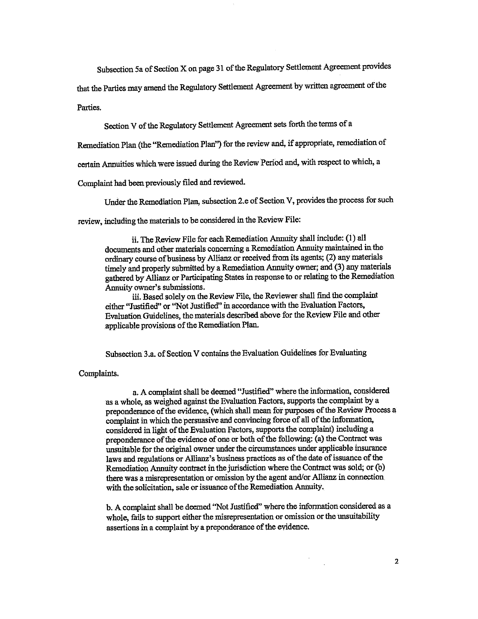Subsection 5a of Section X on page 31 of the Regulatory Settlement Agreement provides

that the Parties may amend the Regulatory Settlement Agreement by written agreement of the

Parties.

Section V of the Regulatory Settlement Agreement sets forth the tenns of a

Remediation Plan (the "Remediation Plan'') for the review and, if appropriate, remediation of

certain Annuities which were issued during the Review Period and, with respect to which, a

Complaint had been previously filed and reviewed.

Under the Remediation Plan, subsection 2.e of Section V, provides the process for such

review, including the materials to be considered in the Review File:

ii. The Review File for each Remediation Annuity shall include: (I) all documents and other materials concerning a Remediation Annuity maintained in the ordinary course of business by Allianz or received from its agents; (2) any materials timely and properly submitted by a Remediation Annuity owner; and (3) any materials gathered by Allianz or Participating States in response to or relating to the Remediation Annuity owner's submissions.

iii. Based solely on the Review File, the Reviewer shall find the complaint either "Justified" or "Not Justified" in accordance with the Evaluation Factors, Evaluation Guidelines, the materials described above for the Review File and other applicable provisions of the Remediation Plan.

Subsection 3 .a. of Section V contains the Evaluation Guidelines for Evaluating

### Complaints.

a. A complaint shall be deemed "Justified" where the information, considered as a whole, as weighed against the Evaluation Factors, supports the complaint by a preponderance of the evidence, (which shall mean for purposes of the Review Process a complaint in which the persuasive and convincing force of all of the information, considered in light of the Evaluation Factors, supports the complaint) including a preponderance of the evidence of one or both of the following: (a) the Contract was unsuitable for the original owner under the circumstances under applicable insurance laws and regulations or Allianz's business practices as of the date of issuance of the Remediation Annuity contract in the jurisdiction where the Contract was sold; or (b) there was a misrepresentation or omission by the agent and/or Allianz in connection with the solicitation, sale or issuance of the Remediation Annuity.

b. A complaint shall be deemed "Not Justified" where the information considered as a whole, fails to support either the misrepresentation or omission or the unsuitability assertions in a complaint by a preponderance of the evidence.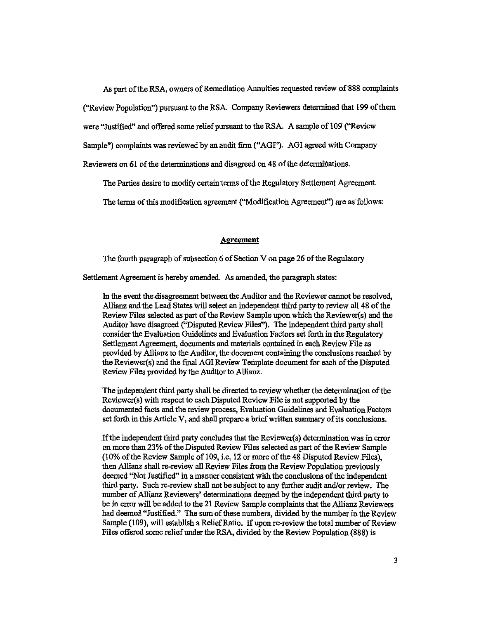As part of the RSA, owners of Remediation Annuities requested review of 888 complaints

("Review Population") pursuant to the RSA. Company Reviewers detennined that 199 of them

were "Justified" and offered some relief pursuant to the RSA. A sample of 109 ("Review

Sample") complaints was reviewed by an audit firm ("AGr'). AGI agreed with Company

Reviewers on 61 of the detenninations and disagreed on 48 of the detenninations.

The Parties desire to modify certain terms of the Regulatory Settlement Agreement.

The terms of this modification agreement ("Modification Agreement'') are as follows:

#### **Agreement**

The fourth paragraph of subsection 6 of Section V on page 26 of the Regulatory

Settlement Agreement is hereby amended. As amended, the paragraph states:

In the event the disagreement between the Auditor and the Reviewer cannot be resolved, Allianz and the Lead States will select an independent third party to review all 48 of the Review Files selected as part of the Review Sample upon which the Reviewer(s) and the Auditor have disagreed ("Disputed Review Files''). The independent third party shall consider the Evaluation Guidelines and Evaluation Factors set forth in the Regulatory Settlement Agreement, documents and materials contained in each Review File as provided by Allianz to the Auditor, the document containing the conclusions reached by the Reviewer(s) and the fmal AGI Review Template document for each of the Disputed Review Files provided by the Auditor to Allianz.

The independent third party shall be directed to review whether the detennination of the Reviewer(s) with respect to each Disputed Review File is not supported by the documented facts and the review process, Evaluation Guidelines and Evaluation Factors set forth in this Article V, and shall prepare a brief written summary of its conclusions.

If the independent third party concludes that the Reviewer(s) determination was in error on more than 23% of the Disputed Review Files selected as part of the Review Sample (10% of the Review Sample of 109, i.e. 12 or more ofthe48 Disputed Review Files), then Allianz shall re-review all Review Files from the Review Population previously deemed ''Not Justified" in a manner consistent with the conclusions of the independent third party. Such re-review shall not be subject to any further audit and/or review. The number of Allianz Reviewers' determinations deemed by the independent third party to be in error will be added to the 21 Review Sample complaints that the Allianz Reviewers had deemed "Justified." The sum of these numbers, divided by the number in the Review Sample (109), will establish a Relief Ratio. If upon re-review the total number of Review Files offered some relief under the RSA, divided by the Review Population (888) is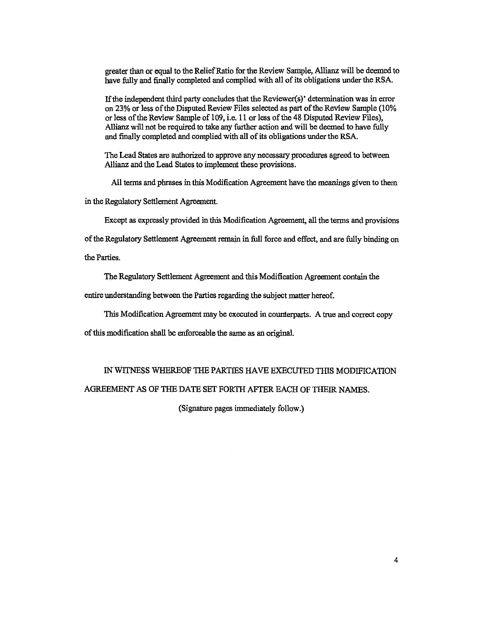greater than or equal to the Relief Ratio for the Review Sample, Allianz will be deemed to have fully and finally completed and complied with all of its obligations under the RSA.

If the independent third party concludes that the Reviewer(s)' determination was in error on 23% or less of the Disputed Review Files selected as part of the Review Sample (10% or less of the Review Sample of 109, i.e. 11 or less of the 48 Disputed Review Files), Allianz will not be required to take any further action and will be deemed to have fully and finally completed and complied with all of its obligations under the RSA.

The Lead States are authorized to approve any necessary procedures agreed to between Allianz and the Lead States to implement these provisions.

All terms and phrases in this Modification Agreement have the meanings given to them

in the Regulatory Settlement Agreement.

Except as expressly provided in this Modification Agreement, all the terms and provisions

of the Regulatory Settlement Agreement remain in full force and effect, and are fully binding on

the Parties.

The Regulatory Settlement Agreement and this Modification Agreement contain the

entire understanding between the Parties regarding the subject matter hereof.

This Modification Agreement may be executed in counterparts. A true and correct copy

of this modification sball be enforceable the same as an original.

## IN WITNESS WHEREOF THE PARTIES HAVE EXECUTED THIS MODIFICATION AGREEMENT AS OF THE DATE SET FORTH AFTER EACH OF THEIR NAMES.

(Signature pages immediately follow.)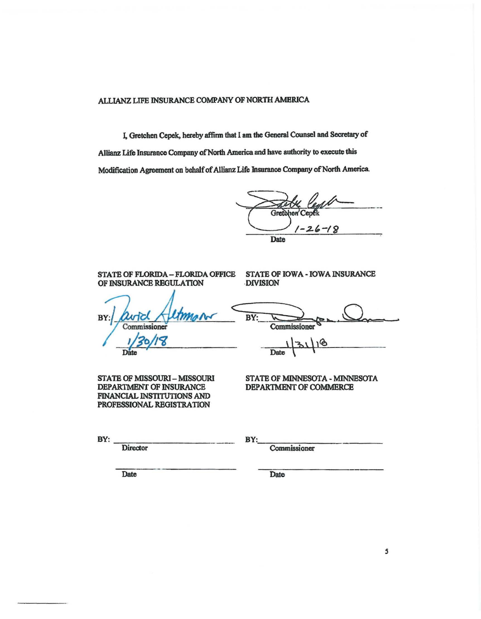ALLIANZ LIFE INSURANCE COMPANY OF NORTH AMERICA

I, Gretchen Cepck, hereby affinn that I am the General Counsel and Secretary of Allianz Life Insurance Company of North America and have authority to execute this Modification Agreement on behalf of Allianz Life Insurance Company of North America.

Gret -18 Date

STATE OF FLORIDA – FLORIDA OFFICE STATE OF IOWA - IOWA INSURANCE OF INSURANCE REGULATION DIVISION OF INSURANCE REGULATION BY Commissioner

STATE OF MISSOURl-MISSOURI DEPARTMENT OF INSURANCE FINANCIAL INSTITUTIONS AND PROFESSIONAL REGISTRATION

BY: .. Commissioner

18  $1|31|$ Date  $\sqrt{ }$ 

STATE OF MINNESOTA - MINNESOTA DEPARTMENT OF COMMERCE

**BY: \_\_\_\_ \_\_\_\_ \_ Director** 

**BY:\_\_\_\_\_\_\_\_\_\_\_\_\_\_\_\_\_\_\_\_\_\_\_\_\_** 

Commissioner

--------- --- **Date** 

Date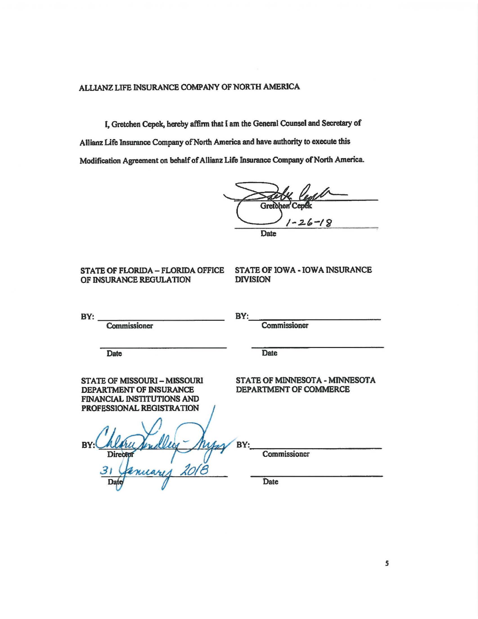### ALLIANZ LIFE INSURANCE COMPANY OF NORTH AMERICA

I. Gretchen Cepek, hereby affinn that I am the General Counsel and Secretary of Allianz Life lnsurance Company of North America and have authority to execute this

Modification Agreement on behalf of Allianz Life Insurance Company of North America.<br>
Gretchen Cepek<br>  $1 - 26 - 18$  $-26-18$ **Date** 

# OF INSURANCE REGULATION

# STATE OF FLORIDA – FLORIDA OFFICE STATE OF IOWA • IOWA INSURANCE<br>OF INSURANCE REGULATION DIVISION

 $BY:$ **Commissioner** Date STATE OF MISSOURI - MISSOURI DEPARTMENT OF INSURANCE FINANCIAL INSTITUTIONS AND PROFESSIONAL REGISTRATION  $BY:$ **Commissioner Date** STATE OF MINNESOTA - MINNESOTA DEPARTMENT OF COMMERCE **BY:. \_\_\_\_\_\_\_\_\_\_\_ \_**  Commissioner **Date**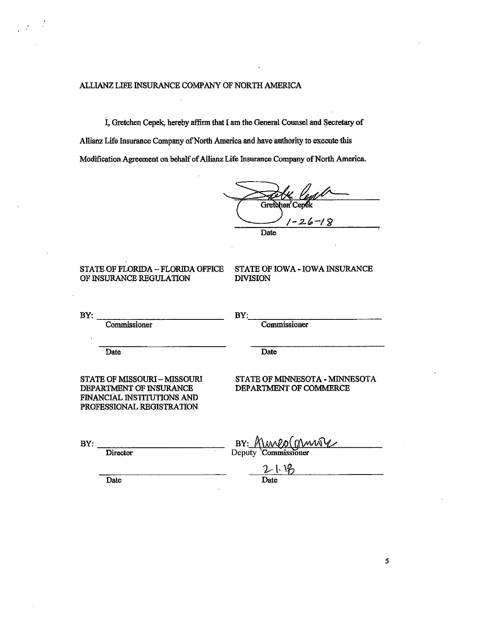ALLIANZ LIFE INSURANCE COMPANY OF NORTH AMERICA

I, Gretchen Cepek, hereby affirm that I am the General Counsel and Secretary of Allianz Life Insurance Company of North America and have authority to execute this Modification Agreement on behalf of AHianz Life Insurance Company of North America.

Gretc hen' -18 Date

### STATE OF FLORIDA – FLORIDA OFFICE STATE OF IOWA - IOWA INSURANCE<br>OF INSURANCE REGULATION DIVISION OF INSURANCE REGULATION

 $\mathcal{L}^{\text{max}}$ 

 $BY:$   $BY:$   $BY:$   $BY:$   $BY:$ Commissioner Commissioner Date Date Date STATE OF MISSOURI – MISSOURI STATE OF MINNESOTA - MINNESOTA<br>DEPARTMENT OF INSURANCE DEPARTMENT OF COMMERCE DEPARTMENT OF COMMERCE FINANCIAL INSTifUTIONS AND PROFESSIONAL REGISTRATION  $BY:$ **Director** BY: *KUMPO* GV  $\frac{2-1}{\text{Date}}$ Date Date Date

*5*